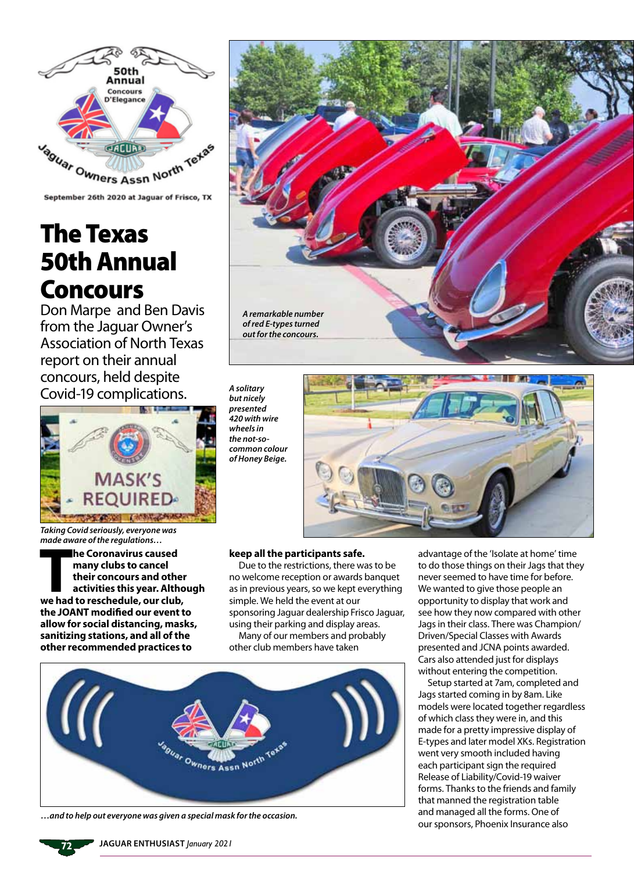

September 26th 2020 at Jaguar of Frisco, TX

## The Texas 50th Annual Concours

Don Marpe and Ben Davis from the Jaguar Owner's Association of North Texas report on their annual concours, held despite Covid-19 complications.



*Taking Covid seriously, everyone was made aware of the regulations…*

**The Coronavirus caused<br>
many clubs to cancel<br>
their concours and other<br>
activities this year. Altho<br>
we had to reschedule, our club, he Coronavirus caused many clubs to cancel their concours and other activities this year. Although the JOANT modified our event to allow for social distancing, masks, sanitizing stations, and all of the other recommended practices to** 



*common colour of Honey Beige.*

## **keep all the participants safe.**

*A solitary but nicely presented 420 with wire wheels in the not-so-*

Due to the restrictions, there was to be no welcome reception or awards banquet as in previous years, so we kept everything simple. We held the event at our sponsoring Jaguar dealership Frisco Jaguar, using their parking and display areas. Many of our members and probably

other club members have taken



*…and to help out everyone was given a special mask for the occasion.*

advantage of the 'Isolate at home' time to do those things on their Jags that they never seemed to have time for before. We wanted to give those people an opportunity to display that work and see how they now compared with other Jags in their class. There was Champion/ Driven/Special Classes with Awards presented and JCNA points awarded. Cars also attended just for displays without entering the competition.

Setup started at 7am, completed and Jags started coming in by 8am. Like models were located together regardless of which class they were in, and this made for a pretty impressive display of E-types and later model XKs. Registration went very smooth included having each participant sign the required Release of Liability/Covid-19 waiver forms. Thanks to the friends and family that manned the registration table and managed all the forms. One of our sponsors, Phoenix Insurance also